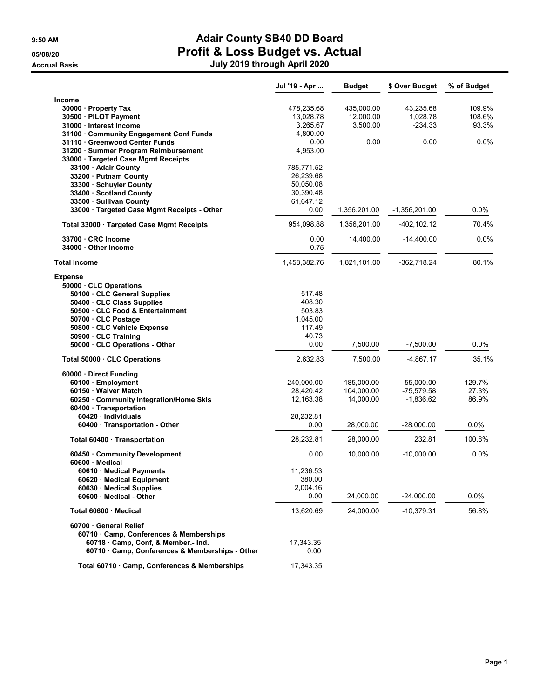|                                                                | Jul '19 - Apr    | <b>Budget</b> | \$ Over Budget | % of Budget |
|----------------------------------------------------------------|------------------|---------------|----------------|-------------|
| <b>Income</b>                                                  |                  |               |                |             |
| 30000 · Property Tax                                           | 478,235.68       | 435,000.00    | 43,235.68      | 109.9%      |
| 30500 · PILOT Payment                                          | 13,028.78        | 12,000.00     | 1,028.78       | 108.6%      |
| 31000 · Interest Income                                        | 3,265.67         | 3,500.00      | $-234.33$      | 93.3%       |
| 31100 Community Engagement Conf Funds                          | 4,800.00         |               |                |             |
| 31110 · Greenwood Center Funds                                 | 0.00             | 0.00          | 0.00           | 0.0%        |
| 31200 · Summer Program Reimbursement                           | 4,953.00         |               |                |             |
| 33000 · Targeted Case Mgmt Receipts                            |                  |               |                |             |
| 33100 Adair County                                             | 785,771.52       |               |                |             |
| 33200 · Putnam County                                          | 26,239.68        |               |                |             |
| 33300 · Schuyler County                                        | 50,050.08        |               |                |             |
| 33400 Scotland County                                          | 30,390.48        |               |                |             |
| 33500 · Sullivan County                                        | 61,647.12        |               |                |             |
| 33000 · Targeted Case Mgmt Receipts - Other                    | 0.00             | 1,356,201.00  | -1,356,201.00  | 0.0%        |
| Total 33000 Targeted Case Mgmt Receipts                        | 954,098.88       | 1,356,201.00  | -402,102.12    | 70.4%       |
| 33700 · CRC Income                                             | 0.00             | 14,400.00     | $-14,400.00$   | 0.0%        |
| 34000 · Other Income                                           | 0.75             |               |                |             |
| <b>Total Income</b>                                            | 1,458,382.76     | 1,821,101.00  | $-362,718.24$  | 80.1%       |
| <b>Expense</b>                                                 |                  |               |                |             |
| 50000 · CLC Operations                                         |                  |               |                |             |
| 50100 CLC General Supplies                                     | 517.48<br>408.30 |               |                |             |
| 50400 · CLC Class Supplies<br>50500 · CLC Food & Entertainment | 503.83           |               |                |             |
| 50700 CLC Postage                                              | 1,045.00         |               |                |             |
| 50800 · CLC Vehicle Expense                                    | 117.49           |               |                |             |
| 50900 · CLC Training                                           | 40.73            |               |                |             |
| 50000 CLC Operations - Other                                   | 0.00             | 7,500.00      | $-7,500.00$    | 0.0%        |
| Total 50000 CLC Operations                                     | 2,632.83         | 7,500.00      | -4,867.17      | 35.1%       |
| 60000 · Direct Funding                                         |                  |               |                |             |
| 60100 · Employment                                             | 240,000.00       | 185,000.00    | 55,000.00      | 129.7%      |
| 60150 Waiver Match                                             | 28,420.42        | 104,000.00    | $-75,579.58$   | 27.3%       |
| 60250 Community Integration/Home Skls                          | 12,163.38        | 14,000.00     | $-1,836.62$    | 86.9%       |
| 60400 · Transportation                                         |                  |               |                |             |
| 60420 Individuals                                              | 28,232.81        |               |                |             |
| 60400 · Transportation - Other                                 | 0.00             | 28,000.00     | $-28,000.00$   | 0.0%        |
| Total 60400 · Transportation                                   | 28,232.81        | 28,000.00     | 232.81         | 100.8%      |
| 60450 Community Development                                    | 0.00             | 10,000.00     | $-10,000.00$   | 0.0%        |
| 60600 · Medical                                                |                  |               |                |             |
| 60610 · Medical Payments                                       | 11,236.53        |               |                |             |
| 60620 · Medical Equipment                                      | 380.00           |               |                |             |
| 60630 Medical Supplies                                         | 2,004.16         |               |                |             |
| 60600 Medical - Other                                          | 0.00             | 24,000.00     | -24,000.00     | 0.0%        |
| Total 60600 · Medical                                          | 13,620.69        | 24.000.00     | $-10,379.31$   | 56.8%       |
| 60700 General Relief                                           |                  |               |                |             |
| 60710 Camp, Conferences & Memberships                          |                  |               |                |             |
| 60718 Camp, Conf, & Member.- Ind.                              | 17,343.35        |               |                |             |
| 60710 Camp, Conferences & Memberships - Other                  | 0.00             |               |                |             |
| Total 60710 · Camp, Conferences & Memberships                  | 17,343.35        |               |                |             |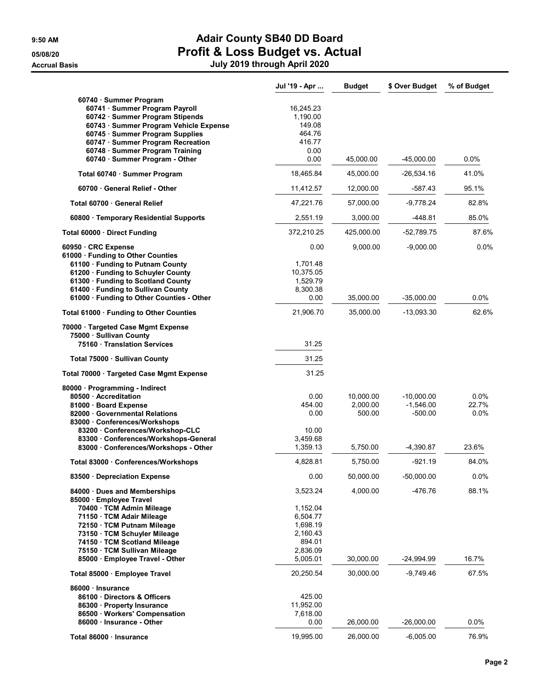|                                                                                             | Jul '19 - Apr         | <b>Budget</b> | \$ Over Budget | % of Budget      |
|---------------------------------------------------------------------------------------------|-----------------------|---------------|----------------|------------------|
| 60740 · Summer Program<br>60741 · Summer Program Payroll<br>60742 · Summer Program Stipends | 16,245.23<br>1,190.00 |               |                |                  |
| 60743 · Summer Program Vehicle Expense                                                      | 149.08                |               |                |                  |
| 60745 · Summer Program Supplies                                                             | 464.76                |               |                |                  |
| 60747 · Summer Program Recreation                                                           | 416.77<br>0.00        |               |                |                  |
| 60748 · Summer Program Training<br>60740 · Summer Program - Other                           | 0.00                  | 45,000.00     | $-45,000.00$   | 0.0%             |
| Total 60740 · Summer Program                                                                | 18,465.84             | 45,000.00     | -26,534.16     | 41.0%            |
| 60700 General Relief - Other                                                                | 11,412.57             | 12,000.00     | $-587.43$      | 95.1%            |
| Total 60700 · General Relief                                                                | 47,221.76             | 57,000.00     | $-9,778.24$    | 82.8%            |
| 60800 · Temporary Residential Supports                                                      | 2,551.19              | 3,000.00      | -448.81        | 85.0%            |
| Total 60000 Direct Funding                                                                  | 372,210.25            | 425,000.00    | $-52,789.75$   | 87.6%            |
| 60950 CRC Expense<br>61000 · Funding to Other Counties                                      | 0.00                  | 9,000.00      | $-9,000.00$    | 0.0%             |
| 61100 · Funding to Putnam County                                                            | 1,701.48              |               |                |                  |
| 61200 · Funding to Schuyler County                                                          | 10,375.05             |               |                |                  |
| 61300 · Funding to Scotland County                                                          | 1,529.79              |               |                |                  |
| 61400 · Funding to Sullivan County                                                          | 8,300.38              |               |                |                  |
| 61000 · Funding to Other Counties - Other                                                   | 0.00                  | 35,000.00     | $-35,000.00$   | $0.0\%$<br>62.6% |
| Total 61000 · Funding to Other Counties<br>70000 · Targeted Case Mgmt Expense               | 21,906.70             | 35,000.00     | $-13,093.30$   |                  |
| 75000 · Sullivan County                                                                     |                       |               |                |                  |
| 75160 Translation Services                                                                  | 31.25                 |               |                |                  |
| Total 75000 · Sullivan County                                                               | 31.25                 |               |                |                  |
| Total 70000 · Targeted Case Mgmt Expense                                                    | 31.25                 |               |                |                  |
| 80000 · Programming - Indirect<br>80500 Accreditation                                       | 0.00                  | 10,000.00     | $-10,000.00$   | 0.0%             |
| 81000 · Board Expense                                                                       | 454.00                | 2,000.00      | $-1,546.00$    | 22.7%            |
| 82000 Governmental Relations                                                                | 0.00                  | 500.00        | $-500.00$      | 0.0%             |
| 83000 Conferences/Workshops                                                                 |                       |               |                |                  |
| 83200 Conferences/Workshop-CLC                                                              | 10.00                 |               |                |                  |
| 83300 Conferences/Workshops-General                                                         | 3,459.68              |               |                |                  |
| 83000 Conferences/Workshops - Other                                                         | 1,359.13              | 5,750.00      | -4,390.87      | 23.6%            |
| Total 83000 · Conferences/Workshops                                                         | 4,828.81              | 5,750.00      | $-921.19$      | 84.0%            |
| 83500 · Depreciation Expense                                                                | 0.00                  | 50,000.00     | $-50,000.00$   | 0.0%             |
| 84000 Dues and Memberships<br>85000 Employee Travel                                         | 3,523.24              | 4,000.00      | -476.76        | 88.1%            |
| 70400 · TCM Admin Mileage                                                                   | 1,152.04              |               |                |                  |
| 71150 · TCM Adair Mileage                                                                   | 6,504.77              |               |                |                  |
| 72150 · TCM Putnam Mileage                                                                  | 1,698.19              |               |                |                  |
| 73150 · TCM Schuyler Mileage                                                                | 2,160.43              |               |                |                  |
| 74150 TCM Scotland Mileage                                                                  | 894.01                |               |                |                  |
| 75150 · TCM Sullivan Mileage                                                                | 2,836.09              |               |                |                  |
| 85000 · Employee Travel - Other                                                             | 5,005.01              | 30,000.00     | $-24,994.99$   | 16.7%            |
| Total 85000 · Employee Travel                                                               | 20,250.54             | 30,000.00     | -9,749.46      | 67.5%            |
| 86000 · Insurance<br>86100 Directors & Officers                                             | 425.00                |               |                |                  |
| 86300 · Property Insurance                                                                  | 11,952.00             |               |                |                  |
| 86500 · Workers' Compensation                                                               | 7,618.00              |               |                |                  |
| 86000 Insurance - Other                                                                     | 0.00                  | 26,000.00     | $-26,000.00$   | 0.0%             |
|                                                                                             |                       |               |                |                  |
| Total 86000 · Insurance                                                                     | 19,995.00             | 26,000.00     | $-6,005.00$    | 76.9%            |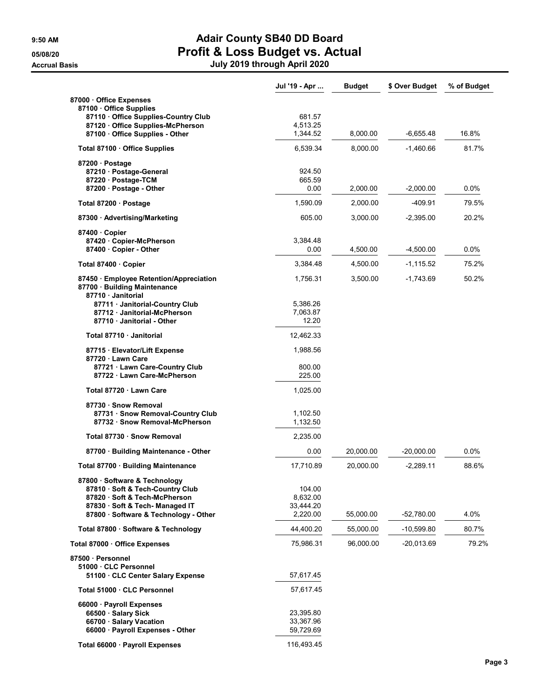|                                                                                             | Jul '19 - Apr        | <b>Budget</b> | \$ Over Budget | % of Budget |
|---------------------------------------------------------------------------------------------|----------------------|---------------|----------------|-------------|
| 87000 Office Expenses<br>87100 Office Supplies                                              |                      |               |                |             |
| 87110 Office Supplies-Country Club                                                          | 681.57               |               |                |             |
| 87120 Office Supplies-McPherson<br>87100 Office Supplies - Other                            | 4,513.25<br>1,344.52 | 8,000.00      | $-6,655.48$    | 16.8%       |
| Total 87100 · Office Supplies                                                               | 6,539.34             | 8,000.00      | -1,460.66      | 81.7%       |
| 87200 · Postage                                                                             |                      |               |                |             |
| 87210 · Postage-General                                                                     | 924.50               |               |                |             |
| 87220 · Postage-TCM                                                                         | 665.59               |               |                |             |
| 87200 Postage - Other                                                                       | 0.00                 | 2,000.00      | $-2,000.00$    | 0.0%        |
| Total 87200 · Postage                                                                       | 1,590.09             | 2,000.00      | $-409.91$      | 79.5%       |
| 87300 Advertising/Marketing                                                                 | 605.00               | 3,000.00      | $-2,395.00$    | 20.2%       |
| 87400 Copier                                                                                |                      |               |                |             |
| 87420 Copier-McPherson                                                                      | 3,384.48             |               |                |             |
| 87400 Copier - Other                                                                        | 0.00                 | 4,500.00      | $-4,500.00$    | 0.0%        |
| Total 87400 · Copier                                                                        | 3,384.48             | 4,500.00      | -1,115.52      | 75.2%       |
| 87450 Employee Retention/Appreciation<br>87700 · Building Maintenance<br>87710 · Janitorial | 1,756.31             | 3,500.00      | $-1,743.69$    | 50.2%       |
| 87711 Janitorial-Country Club                                                               | 5,386.26             |               |                |             |
| 87712 Janitorial-McPherson                                                                  | 7,063.87             |               |                |             |
| 87710 Janitorial - Other                                                                    | 12.20                |               |                |             |
| Total 87710 · Janitorial                                                                    | 12,462.33            |               |                |             |
| 87715 · Elevator/Lift Expense<br>87720 Lawn Care                                            | 1,988.56             |               |                |             |
| 87721 · Lawn Care-Country Club<br>87722 Lawn Care-McPherson                                 | 800.00<br>225.00     |               |                |             |
|                                                                                             |                      |               |                |             |
| Total 87720 · Lawn Care                                                                     | 1,025.00             |               |                |             |
| 87730 · Snow Removal                                                                        |                      |               |                |             |
| 87731 · Snow Removal-Country Club<br>87732 · Snow Removal-McPherson                         | 1,102.50<br>1,132.50 |               |                |             |
| Total 87730 · Snow Removal                                                                  | 2,235.00             |               |                |             |
|                                                                                             |                      |               |                |             |
| 87700 · Building Maintenance - Other                                                        | 0.00                 | 20,000.00     | $-20,000.00$   | 0.0%        |
| Total 87700 · Building Maintenance                                                          | 17,710.89            | 20,000.00     | -2,289.11      | 88.6%       |
| 87800 · Software & Technology                                                               |                      |               |                |             |
| 87810 Soft & Tech-Country Club<br>87820 · Soft & Tech-McPherson                             | 104.00<br>8,632.00   |               |                |             |
| 87830 · Soft & Tech- Managed IT                                                             | 33,444.20            |               |                |             |
| 87800 Software & Technology - Other                                                         | 2,220.00             | 55,000.00     | -52,780.00     | 4.0%        |
| Total 87800 · Software & Technology                                                         | 44,400.20            | 55,000.00     | $-10,599.80$   | 80.7%       |
| Total 87000 · Office Expenses                                                               | 75,986.31            | 96,000.00     | -20,013.69     | 79.2%       |
| 87500 · Personnel                                                                           |                      |               |                |             |
| 51000 CLC Personnel                                                                         |                      |               |                |             |
| 51100 CLC Center Salary Expense                                                             | 57,617.45            |               |                |             |
| Total 51000 · CLC Personnel                                                                 | 57,617.45            |               |                |             |
| 66000 Payroll Expenses                                                                      |                      |               |                |             |
| 66500 · Salary Sick                                                                         | 23,395.80            |               |                |             |
| 66700 · Salary Vacation                                                                     | 33,367.96            |               |                |             |
| 66000 · Payroll Expenses - Other                                                            | 59,729.69            |               |                |             |
| Total 66000 · Payroll Expenses                                                              | 116,493.45           |               |                |             |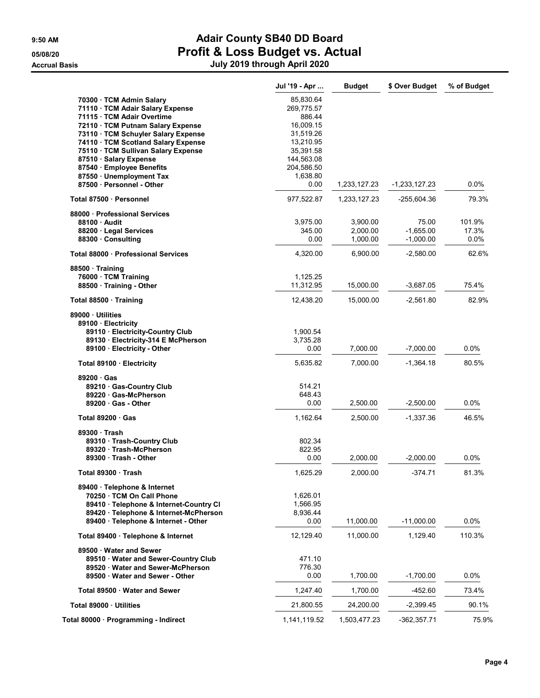|                                         | Jul '19 - Apr | <b>Budget</b> | \$ Over Budget  | % of Budget |
|-----------------------------------------|---------------|---------------|-----------------|-------------|
| 70300 TCM Admin Salary                  | 85,830.64     |               |                 |             |
| 71110 · TCM Adair Salary Expense        | 269,775.57    |               |                 |             |
| 71115 · TCM Adair Overtime              | 886.44        |               |                 |             |
| 72110 · TCM Putnam Salary Expense       | 16,009.15     |               |                 |             |
| 73110 · TCM Schuyler Salary Expense     | 31,519.26     |               |                 |             |
| 74110 · TCM Scotland Salary Expense     | 13.210.95     |               |                 |             |
| 75110 · TCM Sullivan Salary Expense     | 35,391.58     |               |                 |             |
| 87510 · Salary Expense                  | 144,563.08    |               |                 |             |
| 87540 · Employee Benefits               | 204,586.50    |               |                 |             |
| 87550 · Unemployment Tax                | 1,638.80      |               |                 |             |
| 87500 · Personnel - Other               | 0.00          | 1,233,127.23  | $-1,233,127.23$ | 0.0%        |
| Total 87500 · Personnel                 | 977,522.87    | 1,233,127.23  | -255,604.36     | 79.3%       |
| 88000 Professional Services             |               |               |                 |             |
| 88100 Audit                             | 3,975.00      | 3,900.00      | 75.00           | 101.9%      |
| 88200 Legal Services                    | 345.00        | 2,000.00      | $-1,655.00$     | 17.3%       |
| 88300 Consulting                        | 0.00          | 1,000.00      | $-1,000.00$     | 0.0%        |
| Total 88000 · Professional Services     | 4,320.00      | 6,900.00      | -2,580.00       | 62.6%       |
| 88500 Training                          |               |               |                 |             |
| 76000 · TCM Training                    | 1,125.25      |               |                 |             |
| 88500 Training - Other                  | 11,312.95     | 15,000.00     | $-3,687.05$     | 75.4%       |
| Total 88500 · Training                  | 12,438.20     | 15,000.00     | $-2,561.80$     | 82.9%       |
| 89000 Utilities                         |               |               |                 |             |
| 89100 · Electricity                     |               |               |                 |             |
| 89110 · Electricity-Country Club        | 1,900.54      |               |                 |             |
| 89130 · Electricity-314 E McPherson     | 3,735.28      |               |                 |             |
| 89100 · Electricity - Other             | 0.00          | 7,000.00      | $-7,000.00$     | $0.0\%$     |
| Total 89100 · Electricity               | 5,635.82      | 7,000.00      | $-1,364.18$     | 80.5%       |
| 89200 Gas                               |               |               |                 |             |
| 89210 Gas-Country Club                  | 514.21        |               |                 |             |
| 89220 Gas-McPherson                     | 648.43        |               |                 |             |
| 89200 Gas - Other                       | 0.00          | 2,500.00      | $-2,500.00$     | 0.0%        |
| Total 89200 · Gas                       | 1,162.64      | 2,500.00      | $-1,337.36$     | 46.5%       |
| 89300 Trash                             |               |               |                 |             |
| 89310 · Trash-Country Club              | 802.34        |               |                 |             |
| 89320 Trash-McPherson                   | 822.95        |               |                 |             |
| 89300 Trash - Other                     | 0.00          | 2,000.00      | -2,000.00       | $0.0\%$     |
| Total 89300 · Trash                     | 1,625.29      | 2,000.00      | $-374.71$       | 81.3%       |
| 89400 · Telephone & Internet            |               |               |                 |             |
| 70250 · TCM On Call Phone               | 1,626.01      |               |                 |             |
| 89410 · Telephone & Internet-Country CI | 1,566.95      |               |                 |             |
| 89420 · Telephone & Internet-McPherson  | 8,936.44      |               |                 |             |
| 89400 · Telephone & Internet - Other    | 0.00          | 11,000.00     | $-11,000.00$    | $0.0\%$     |
| Total 89400 · Telephone & Internet      | 12,129.40     | 11,000.00     | 1,129.40        | 110.3%      |
| 89500 Water and Sewer                   |               |               |                 |             |
| 89510 Water and Sewer-Country Club      | 471.10        |               |                 |             |
| 89520 Water and Sewer-McPherson         | 776.30        |               |                 |             |
| 89500 Water and Sewer - Other           | 0.00          | 1,700.00      | $-1,700.00$     | 0.0%        |
| Total 89500 · Water and Sewer           | 1,247.40      | 1,700.00      | -452.60         | 73.4%       |
| Total 89000 Utilities                   | 21,800.55     | 24,200.00     | $-2,399.45$     | 90.1%       |
| Total 80000 · Programming - Indirect    | 1,141,119.52  | 1,503,477.23  | $-362, 357.71$  | 75.9%       |